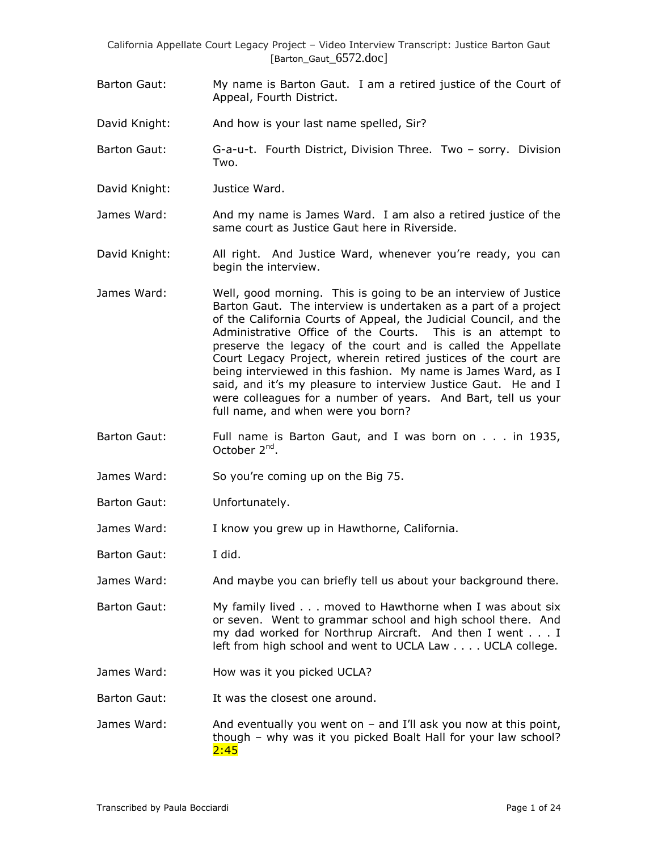- Barton Gaut: My name is Barton Gaut. I am a retired justice of the Court of Appeal, Fourth District.
- David Knight: And how is your last name spelled, Sir?
- Barton Gaut: G-a-u-t. Fourth District, Division Three. Two sorry. Division Two.
- David Knight: Justice Ward.

James Ward: And my name is James Ward. I am also a retired justice of the same court as Justice Gaut here in Riverside.

David Knight: All right. And Justice Ward, whenever you're ready, you can begin the interview.

- James Ward: Well, good morning. This is going to be an interview of Justice Barton Gaut. The interview is undertaken as a part of a project of the California Courts of Appeal, the Judicial Council, and the Administrative Office of the Courts. This is an attempt to preserve the legacy of the court and is called the Appellate Court Legacy Project, wherein retired justices of the court are being interviewed in this fashion. My name is James Ward, as I said, and it's my pleasure to interview Justice Gaut. He and I were colleagues for a number of years. And Bart, tell us your full name, and when were you born?
- Barton Gaut: Full name is Barton Gaut, and I was born on . . . in 1935, October 2<sup>nd</sup>.
- James Ward: So you"re coming up on the Big 75.
- Barton Gaut: Unfortunately.
- James Ward: I know you grew up in Hawthorne, California.
- Barton Gaut: I did.
- James Ward: And maybe you can briefly tell us about your background there.
- Barton Gaut: My family lived . . . moved to Hawthorne when I was about six or seven. Went to grammar school and high school there. And my dad worked for Northrup Aircraft. And then I went . . . I left from high school and went to UCLA Law . . . . UCLA college.
- James Ward: How was it you picked UCLA?
- Barton Gaut: It was the closest one around.

James Ward: And eventually you went on – and I'll ask you now at this point, though – why was it you picked Boalt Hall for your law school?  $2:45$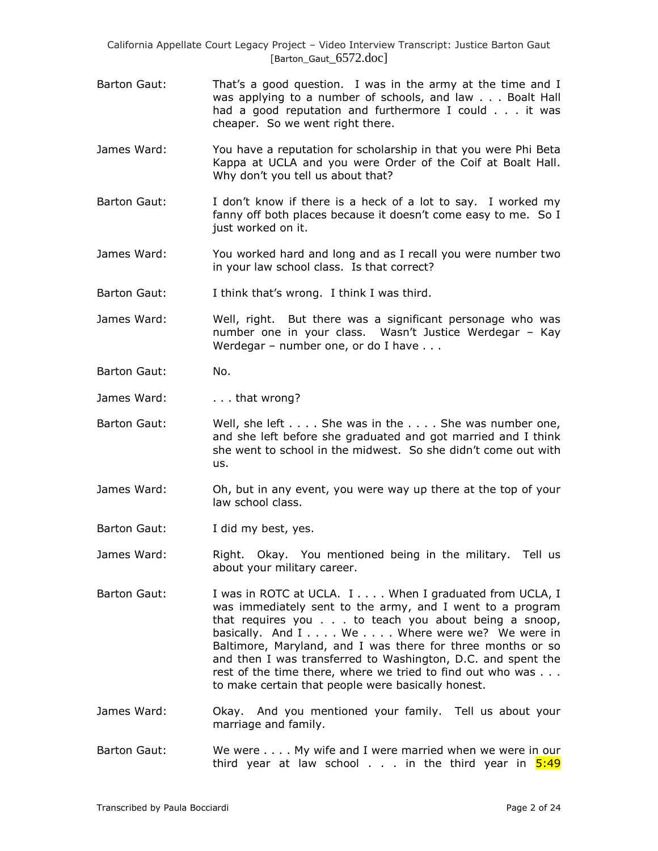- Barton Gaut: That's a good question. I was in the army at the time and I was applying to a number of schools, and law . . . Boalt Hall had a good reputation and furthermore I could . . . it was cheaper. So we went right there.
- James Ward: You have a reputation for scholarship in that you were Phi Beta Kappa at UCLA and you were Order of the Coif at Boalt Hall. Why don"t you tell us about that?
- Barton Gaut: I don"t know if there is a heck of a lot to say. I worked my fanny off both places because it doesn't come easy to me. So I just worked on it.
- James Ward: You worked hard and long and as I recall you were number two in your law school class. Is that correct?
- Barton Gaut: I think that's wrong. I think I was third.
- James Ward: Well, right. But there was a significant personage who was number one in your class. Wasn"t Justice Werdegar – Kay Werdegar – number one, or do I have . . .
- Barton Gaut: No.
- James Ward: ... that wrong?
- Barton Gaut: Well, she left . . . . She was in the . . . . She was number one, and she left before she graduated and got married and I think she went to school in the midwest. So she didn"t come out with us.
- James Ward: Oh, but in any event, you were way up there at the top of your law school class.
- Barton Gaut: I did my best, yes.
- James Ward: Right. Okay. You mentioned being in the military. Tell us about your military career.
- Barton Gaut: I was in ROTC at UCLA. I . . . . When I graduated from UCLA, I was immediately sent to the army, and I went to a program that requires you . . . to teach you about being a snoop, basically. And I . . . . We . . . . Where were we? We were in Baltimore, Maryland, and I was there for three months or so and then I was transferred to Washington, D.C. and spent the rest of the time there, where we tried to find out who was . . . to make certain that people were basically honest.
- James Ward: Okay. And you mentioned your family. Tell us about your marriage and family.
- Barton Gaut: We were . . . . My wife and I were married when we were in our third year at law school  $\ldots$  in the third year in  $5:49$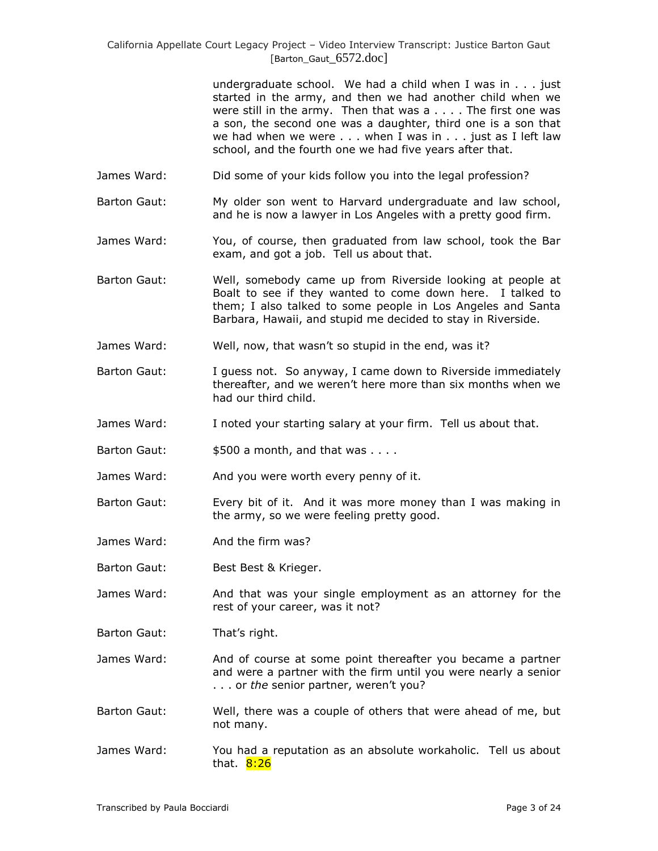undergraduate school. We had a child when I was in . . . just started in the army, and then we had another child when we were still in the army. Then that was a . . . . The first one was a son, the second one was a daughter, third one is a son that we had when we were . . . when I was in . . . just as I left law school, and the fourth one we had five years after that.

- James Ward: Did some of your kids follow you into the legal profession?
- Barton Gaut: My older son went to Harvard undergraduate and law school, and he is now a lawyer in Los Angeles with a pretty good firm.
- James Ward: You, of course, then graduated from law school, took the Bar exam, and got a job. Tell us about that.
- Barton Gaut: Well, somebody came up from Riverside looking at people at Boalt to see if they wanted to come down here. I talked to them; I also talked to some people in Los Angeles and Santa Barbara, Hawaii, and stupid me decided to stay in Riverside.
- James Ward: Well, now, that wasn"t so stupid in the end, was it?
- Barton Gaut: I guess not. So anyway, I came down to Riverside immediately thereafter, and we weren't here more than six months when we had our third child.
- James Ward: I noted your starting salary at your firm. Tell us about that.
- Barton Gaut:  $$500$  a month, and that was . . . .
- James Ward: And you were worth every penny of it.
- Barton Gaut: Every bit of it. And it was more money than I was making in the army, so we were feeling pretty good.
- James Ward: And the firm was?
- Barton Gaut: Best Best & Krieger.
- James Ward: And that was your single employment as an attorney for the rest of your career, was it not?
- Barton Gaut: That's right.
- James Ward: And of course at some point thereafter you became a partner and were a partner with the firm until you were nearly a senior . . . or *the* senior partner, weren't you?
- Barton Gaut: Well, there was a couple of others that were ahead of me, but not many.
- James Ward: You had a reputation as an absolute workaholic. Tell us about that. **8:26**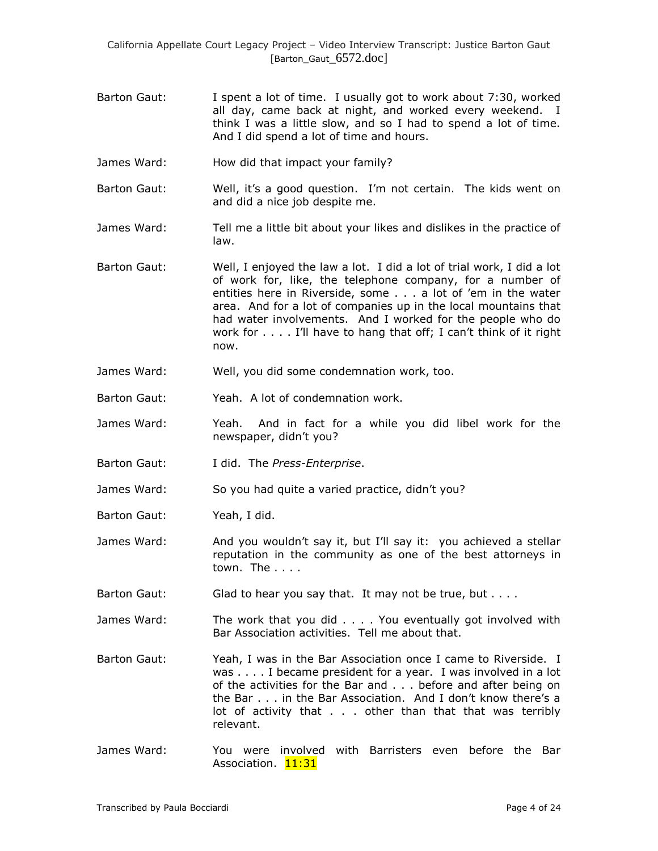- Barton Gaut: I spent a lot of time. I usually got to work about 7:30, worked all day, came back at night, and worked every weekend. I think I was a little slow, and so I had to spend a lot of time. And I did spend a lot of time and hours.
- James Ward: How did that impact your family?
- Barton Gaut: Well, it's a good question. I'm not certain. The kids went on and did a nice job despite me.
- James Ward: Tell me a little bit about your likes and dislikes in the practice of law.
- Barton Gaut: Well, I enjoyed the law a lot. I did a lot of trial work, I did a lot of work for, like, the telephone company, for a number of entities here in Riverside, some . . . a lot of "em in the water area. And for a lot of companies up in the local mountains that had water involvements. And I worked for the people who do work for . . . . I'll have to hang that off; I can't think of it right now.
- James Ward: Well, you did some condemnation work, too.
- Barton Gaut: Yeah. A lot of condemnation work.
- James Ward: Yeah. And in fact for a while you did libel work for the newspaper, didn"t you?
- Barton Gaut: I did. The *Press-Enterprise*.
- James Ward: So you had quite a varied practice, didn't you?
- Barton Gaut: Yeah, I did.
- James Ward: And you wouldn"t say it, but I"ll say it: you achieved a stellar reputation in the community as one of the best attorneys in town. The . . . .
- Barton Gaut: Glad to hear you say that. It may not be true, but . . . .
- James Ward: The work that you did . . . . You eventually got involved with Bar Association activities. Tell me about that.
- Barton Gaut: Yeah, I was in the Bar Association once I came to Riverside. I was . . . . I became president for a year. I was involved in a lot of the activities for the Bar and . . . before and after being on the Bar . . . in the Bar Association. And I don"t know there"s a lot of activity that . . . other than that that was terribly relevant.
- James Ward: You were involved with Barristers even before the Bar Association. 11:31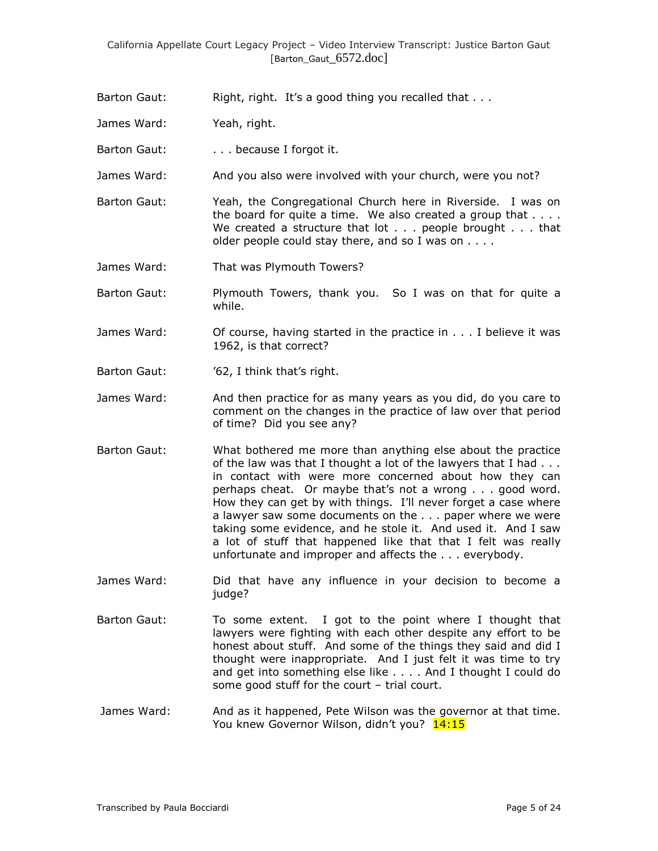- Barton Gaut: Right, right. It's a good thing you recalled that . . .
- James Ward: Yeah, right.
- Barton Gaut: . . . . . because I forgot it.
- James Ward: And you also were involved with your church, were you not?
- Barton Gaut: Yeah, the Congregational Church here in Riverside. I was on the board for quite a time. We also created a group that  $\dots$ . We created a structure that lot . . . people brought . . . that older people could stay there, and so I was on . . . .
- James Ward: That was Plymouth Towers?
- Barton Gaut: Plymouth Towers, thank you. So I was on that for quite a while.
- James Ward: Of course, having started in the practice in . . . I believe it was 1962, is that correct?
- Barton Gaut: "62, I think that's right.
- James Ward: And then practice for as many years as you did, do you care to comment on the changes in the practice of law over that period of time? Did you see any?
- Barton Gaut: What bothered me more than anything else about the practice of the law was that I thought a lot of the lawyers that I had . . . in contact with were more concerned about how they can perhaps cheat. Or maybe that"s not a wrong . . . good word. How they can get by with things. I"ll never forget a case where a lawyer saw some documents on the . . . paper where we were taking some evidence, and he stole it. And used it. And I saw a lot of stuff that happened like that that I felt was really unfortunate and improper and affects the . . . everybody.
- James Ward: Did that have any influence in your decision to become a judge?
- Barton Gaut: To some extent. I got to the point where I thought that lawyers were fighting with each other despite any effort to be honest about stuff. And some of the things they said and did I thought were inappropriate. And I just felt it was time to try and get into something else like . . . . And I thought I could do some good stuff for the court – trial court.
- James Ward: And as it happened, Pete Wilson was the governor at that time. You knew Governor Wilson, didn't you? 14:15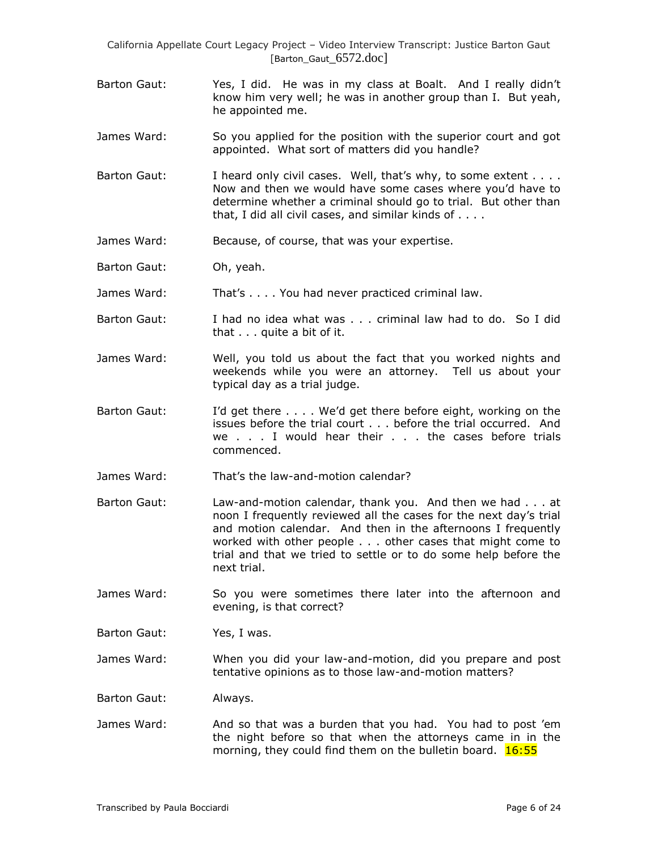- Barton Gaut: Yes, I did. He was in my class at Boalt. And I really didn't know him very well; he was in another group than I. But yeah, he appointed me.
- James Ward: So you applied for the position with the superior court and got appointed. What sort of matters did you handle?
- Barton Gaut: I heard only civil cases. Well, that's why, to some extent . . . . Now and then we would have some cases where you"d have to determine whether a criminal should go to trial. But other than that, I did all civil cases, and similar kinds of . . . .
- James Ward: Because, of course, that was your expertise.
- Barton Gaut: Oh, yeah.

James Ward: That's . . . . You had never practiced criminal law.

- Barton Gaut: I had no idea what was . . . criminal law had to do. So I did that . . . quite a bit of it.
- James Ward: Well, you told us about the fact that you worked nights and weekends while you were an attorney. Tell us about your typical day as a trial judge.
- Barton Gaut: I"d get there . . . . We"d get there before eight, working on the issues before the trial court . . . before the trial occurred. And we . . . I would hear their . . . the cases before trials commenced.
- James Ward: That"s the law-and-motion calendar?
- Barton Gaut: Law-and-motion calendar, thank you. And then we had . . . at noon I frequently reviewed all the cases for the next day"s trial and motion calendar. And then in the afternoons I frequently worked with other people . . . other cases that might come to trial and that we tried to settle or to do some help before the next trial.
- James Ward: So you were sometimes there later into the afternoon and evening, is that correct?

Barton Gaut: Yes, I was.

James Ward: When you did your law-and-motion, did you prepare and post tentative opinions as to those law-and-motion matters?

Barton Gaut: Always.

James Ward: And so that was a burden that you had. You had to post "em the night before so that when the attorneys came in in the morning, they could find them on the bulletin board.  $16:55$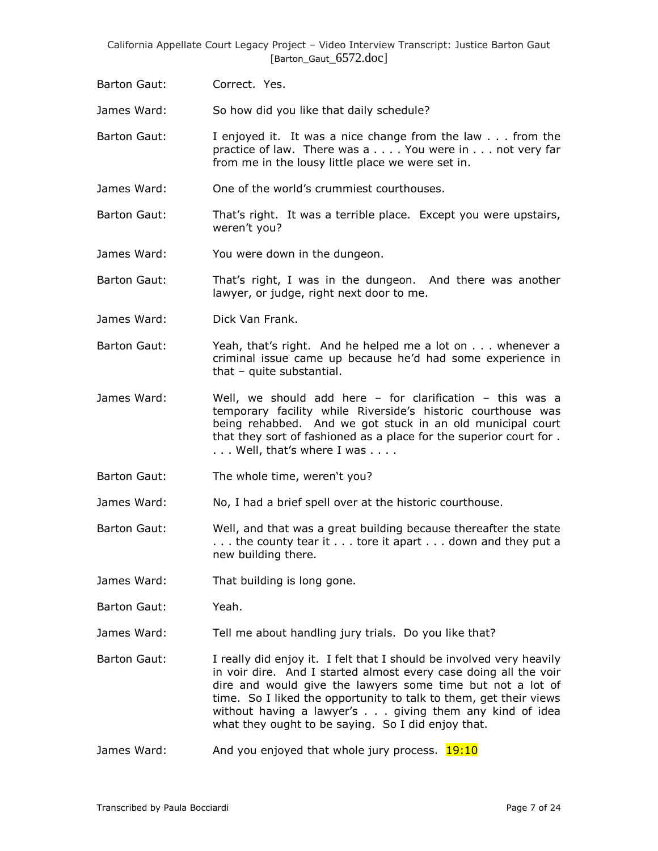Barton Gaut: Correct. Yes.

James Ward: So how did you like that daily schedule?

- Barton Gaut: I enjoyed it. It was a nice change from the law . . . from the practice of law. There was a . . . . You were in . . . not very far from me in the lousy little place we were set in.
- James Ward: One of the world"s crummiest courthouses.
- Barton Gaut: That"s right. It was a terrible place. Except you were upstairs, weren't you?
- James Ward: You were down in the dungeon.
- Barton Gaut: That"s right, I was in the dungeon. And there was another lawyer, or judge, right next door to me.
- James Ward: Dick Van Frank.
- Barton Gaut: Yeah, that's right. And he helped me a lot on . . . whenever a criminal issue came up because he"d had some experience in that – quite substantial.
- James Ward: Well, we should add here for clarification this was a temporary facility while Riverside's historic courthouse was being rehabbed. And we got stuck in an old municipal court that they sort of fashioned as a place for the superior court for . . . . Well, that's where I was . . . .
- Barton Gaut: The whole time, weren't you?
- James Ward: No, I had a brief spell over at the historic courthouse.
- Barton Gaut: Well, and that was a great building because thereafter the state ... the county tear it ... tore it apart ... down and they put a new building there.
- James Ward: That building is long gone.
- Barton Gaut: Yeah.
- James Ward: Tell me about handling jury trials. Do you like that?
- Barton Gaut: I really did enjoy it. I felt that I should be involved very heavily in voir dire. And I started almost every case doing all the voir dire and would give the lawyers some time but not a lot of time. So I liked the opportunity to talk to them, get their views without having a lawyer's . . . giving them any kind of idea what they ought to be saying. So I did enjoy that.
- James Ward: And you enjoyed that whole jury process. **19:10**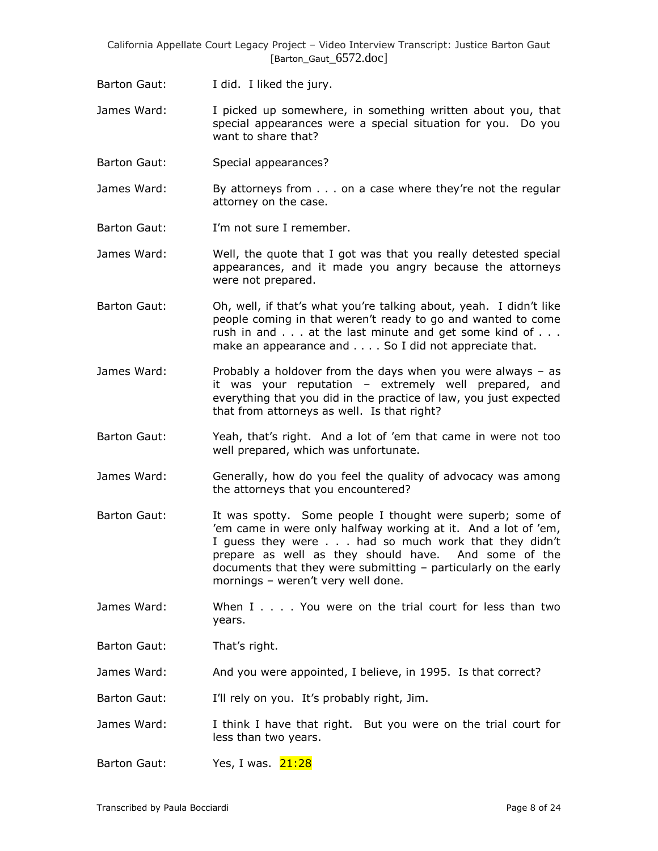- Barton Gaut: I did. I liked the jury.
- James Ward: I picked up somewhere, in something written about you, that special appearances were a special situation for you. Do you want to share that?
- Barton Gaut: Special appearances?
- James Ward: By attorneys from . . . on a case where they're not the regular attorney on the case.
- Barton Gaut: I'm not sure I remember.
- James Ward: Well, the quote that I got was that you really detested special appearances, and it made you angry because the attorneys were not prepared.
- Barton Gaut: Oh, well, if that"s what you"re talking about, yeah. I didn"t like people coming in that weren't ready to go and wanted to come rush in and . . . at the last minute and get some kind of . . . make an appearance and . . . . So I did not appreciate that.
- James Ward: Probably a holdover from the days when you were always as it was your reputation – extremely well prepared, and everything that you did in the practice of law, you just expected that from attorneys as well. Is that right?
- Barton Gaut: Yeah, that"s right. And a lot of "em that came in were not too well prepared, which was unfortunate.
- James Ward: Generally, how do you feel the quality of advocacy was among the attorneys that you encountered?
- Barton Gaut: It was spotty. Some people I thought were superb; some of 'em came in were only halfway working at it. And a lot of 'em, I guess they were . . . had so much work that they didn't prepare as well as they should have. And some of the documents that they were submitting – particularly on the early mornings - weren't very well done.
- James Ward: When I . . . . You were on the trial court for less than two years.
- Barton Gaut: That's right.
- James Ward: And you were appointed, I believe, in 1995. Is that correct?
- Barton Gaut: I'll rely on you. It's probably right, Jim.
- James Ward: I think I have that right. But you were on the trial court for less than two years.
- Barton Gaut: Yes, I was. 21:28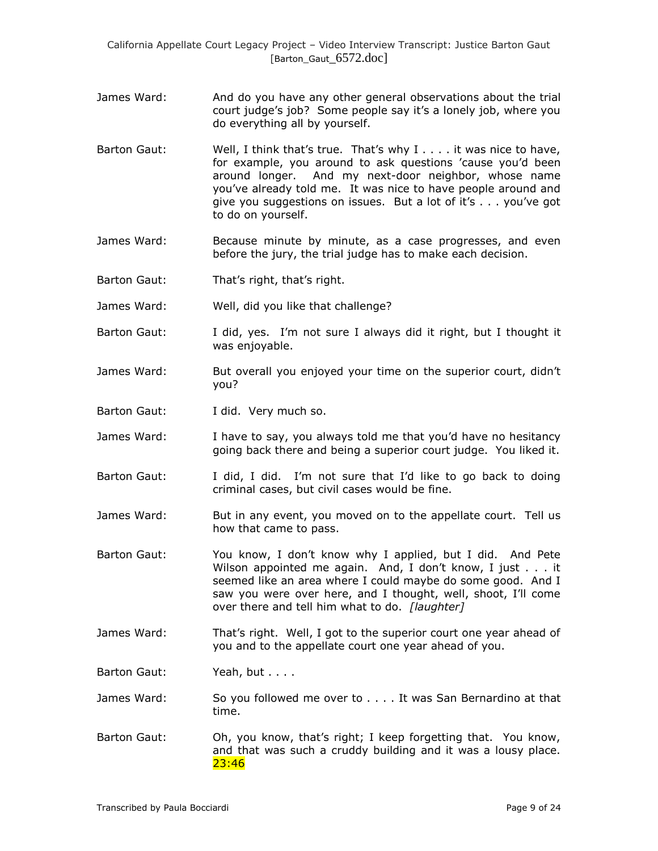- James Ward: And do you have any other general observations about the trial court judge's job? Some people say it's a lonely job, where you do everything all by yourself.
- Barton Gaut: Well, I think that's true. That's why I . . . . it was nice to have, for example, you around to ask questions "cause you"d been around longer. And my next-door neighbor, whose name you"ve already told me. It was nice to have people around and give you suggestions on issues. But a lot of it"s . . . you"ve got to do on yourself.
- James Ward: Because minute by minute, as a case progresses, and even before the jury, the trial judge has to make each decision.
- Barton Gaut: That's right, that's right.
- James Ward: Well, did you like that challenge?
- Barton Gaut: I did, yes. I"m not sure I always did it right, but I thought it was enjoyable.
- James Ward: But overall you enjoyed your time on the superior court, didn't you?
- Barton Gaut: I did. Very much so.
- James Ward: I have to say, you always told me that you"d have no hesitancy going back there and being a superior court judge. You liked it.
- Barton Gaut: I did, I did. I"m not sure that I"d like to go back to doing criminal cases, but civil cases would be fine.
- James Ward: But in any event, you moved on to the appellate court. Tell us how that came to pass.
- Barton Gaut: You know, I don"t know why I applied, but I did. And Pete Wilson appointed me again. And, I don't know, I just . . . it seemed like an area where I could maybe do some good. And I saw you were over here, and I thought, well, shoot, I'll come over there and tell him what to do. *[laughter]*
- James Ward: That"s right. Well, I got to the superior court one year ahead of you and to the appellate court one year ahead of you.
- Barton Gaut: Yeah, but . . . .
- James Ward: So you followed me over to . . . . It was San Bernardino at that time.
- Barton Gaut: Oh, you know, that's right; I keep forgetting that. You know, and that was such a cruddy building and it was a lousy place. 23:46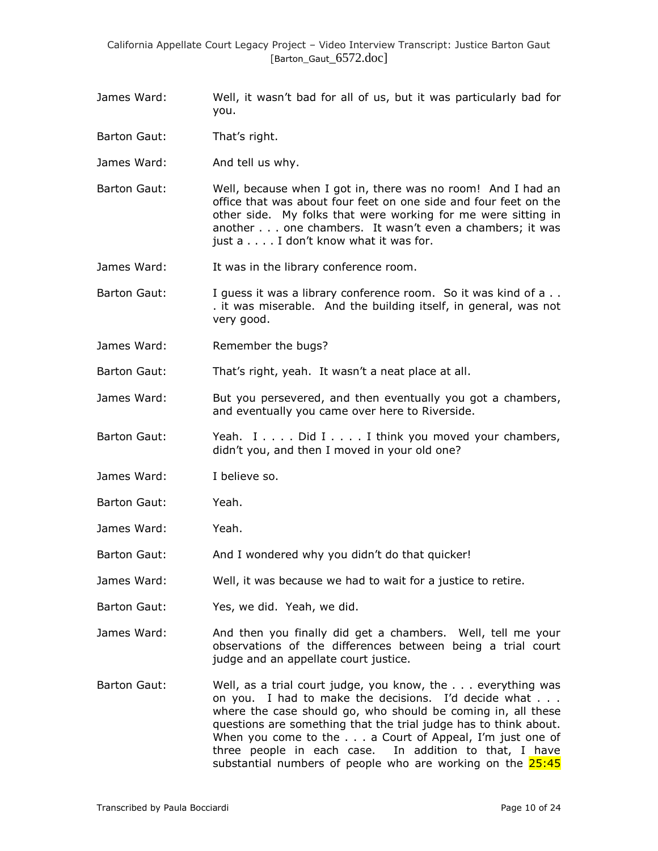- James Ward: Well, it wasn"t bad for all of us, but it was particularly bad for you.
- Barton Gaut: That's right.
- James Ward: And tell us why.
- Barton Gaut: Well, because when I got in, there was no room! And I had an office that was about four feet on one side and four feet on the other side. My folks that were working for me were sitting in another . . . one chambers. It wasn't even a chambers; it was just a . . . . I don't know what it was for.
- James Ward: It was in the library conference room.
- Barton Gaut: I guess it was a library conference room. So it was kind of a.. . it was miserable. And the building itself, in general, was not very good.
- James Ward: Remember the bugs?

Barton Gaut: That's right, yeah. It wasn't a neat place at all.

- James Ward: But you persevered, and then eventually you got a chambers, and eventually you came over here to Riverside.
- Barton Gaut: Yeah. I . . . . Did I . . . . I think you moved your chambers, didn"t you, and then I moved in your old one?
- James Ward: I believe so.
- Barton Gaut: Yeah.
- James Ward: Yeah.
- Barton Gaut: And I wondered why you didn't do that quicker!
- James Ward: Well, it was because we had to wait for a justice to retire.
- Barton Gaut: Yes, we did. Yeah, we did.
- James Ward: And then you finally did get a chambers. Well, tell me your observations of the differences between being a trial court judge and an appellate court justice.
- Barton Gaut: Well, as a trial court judge, you know, the . . . everything was on you. I had to make the decisions. I"d decide what . . . where the case should go, who should be coming in, all these questions are something that the trial judge has to think about. When you come to the . . . a Court of Appeal, I'm just one of three people in each case. In addition to that, I have substantial numbers of people who are working on the  $25:45$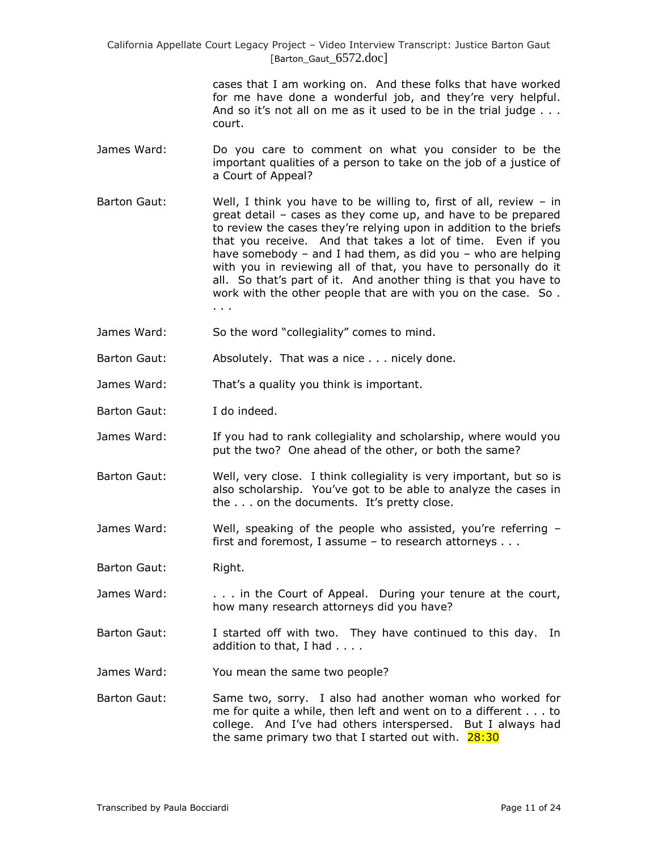> cases that I am working on. And these folks that have worked for me have done a wonderful job, and they"re very helpful. And so it's not all on me as it used to be in the trial judge  $\ldots$ . court.

- James Ward: Do you care to comment on what you consider to be the important qualities of a person to take on the job of a justice of a Court of Appeal?
- Barton Gaut: Well, I think you have to be willing to, first of all, review in great detail – cases as they come up, and have to be prepared to review the cases they"re relying upon in addition to the briefs that you receive. And that takes a lot of time. Even if you have somebody – and I had them, as did you – who are helping with you in reviewing all of that, you have to personally do it all. So that"s part of it. And another thing is that you have to work with the other people that are with you on the case. So . . . .
- James Ward: So the word "collegiality" comes to mind.
- Barton Gaut: Absolutely. That was a nice . . . nicely done.
- James Ward: That's a quality you think is important.
- Barton Gaut: I do indeed.
- James Ward: If you had to rank collegiality and scholarship, where would you put the two? One ahead of the other, or both the same?
- Barton Gaut: Well, very close. I think collegiality is very important, but so is also scholarship. You"ve got to be able to analyze the cases in the . . . on the documents. It's pretty close.
- James Ward: Well, speaking of the people who assisted, you"re referring first and foremost, I assume – to research attorneys . . .
- Barton Gaut: Right.
- James Ward: ... in the Court of Appeal. During your tenure at the court, how many research attorneys did you have?
- Barton Gaut: I started off with two. They have continued to this day. In addition to that, I had . . . .
- James Ward: You mean the same two people?
- Barton Gaut: Same two, sorry. I also had another woman who worked for me for quite a while, then left and went on to a different . . . to college. And I"ve had others interspersed. But I always had the same primary two that I started out with.  $28:30$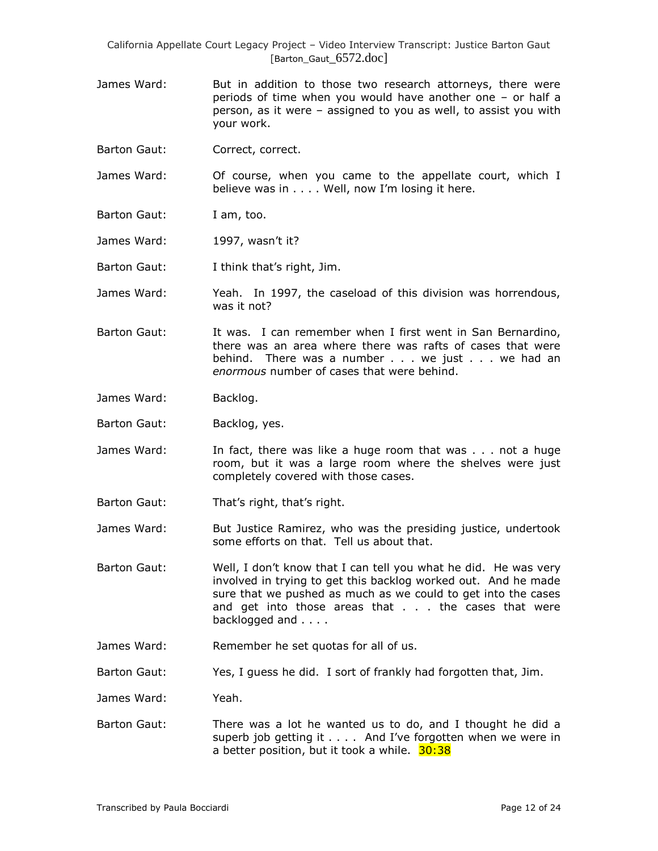- James Ward: But in addition to those two research attorneys, there were periods of time when you would have another one – or half a person, as it were – assigned to you as well, to assist you with your work.
- Barton Gaut: Correct, correct.

James Ward: Of course, when you came to the appellate court, which I believe was in . . . . Well, now I'm losing it here.

- Barton Gaut: I am, too.
- James Ward: 1997, wasn't it?
- Barton Gaut: I think that's right, Jim.

James Ward: Yeah. In 1997, the caseload of this division was horrendous, was it not?

- Barton Gaut: It was. I can remember when I first went in San Bernardino, there was an area where there was rafts of cases that were behind. There was a number . . . we just . . . we had an *enormous* number of cases that were behind.
- James Ward: Backlog.
- Barton Gaut: Backlog, yes.
- James Ward: In fact, there was like a huge room that was . . . not a huge room, but it was a large room where the shelves were just completely covered with those cases.
- Barton Gaut: That's right, that's right.
- James Ward: But Justice Ramirez, who was the presiding justice, undertook some efforts on that. Tell us about that.
- Barton Gaut: Well, I don"t know that I can tell you what he did. He was very involved in trying to get this backlog worked out. And he made sure that we pushed as much as we could to get into the cases and get into those areas that . . . the cases that were backlogged and . . . .
- James Ward: Remember he set quotas for all of us.
- Barton Gaut: Yes, I guess he did. I sort of frankly had forgotten that, Jim.

James Ward: Yeah.

Barton Gaut: There was a lot he wanted us to do, and I thought he did a superb job getting it . . . . And I've forgotten when we were in a better position, but it took a while. 30:38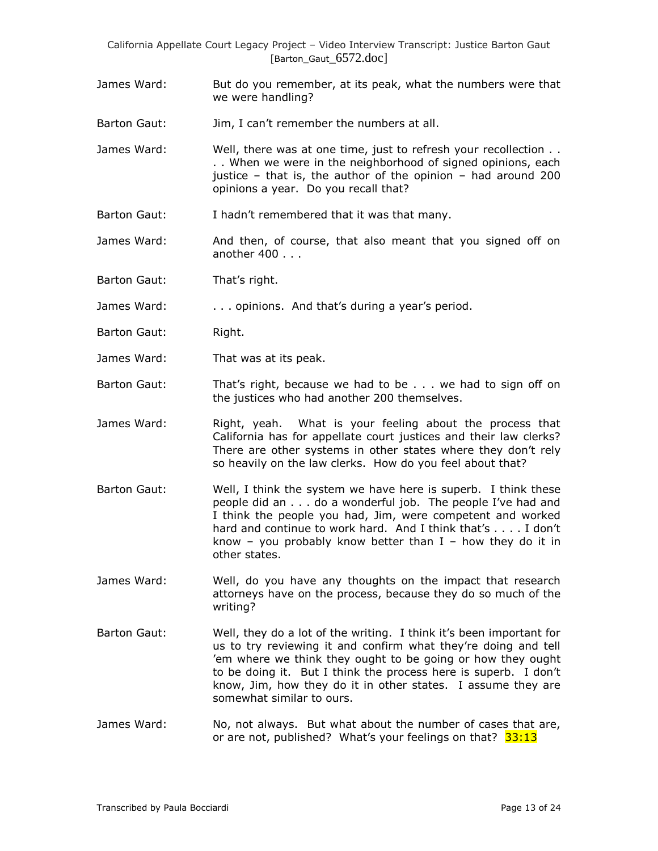James Ward: But do you remember, at its peak, what the numbers were that we were handling?

Barton Gaut: Jim, I can't remember the numbers at all.

- James Ward: Well, there was at one time, just to refresh your recollection . . . . When we were in the neighborhood of signed opinions, each justice – that is, the author of the opinion – had around 200 opinions a year. Do you recall that?
- Barton Gaut: I hadn"t remembered that it was that many.
- James Ward: And then, of course, that also meant that you signed off on another 400 . . .
- Barton Gaut: That"s right.
- James Ward: . . . . . opinions. And that's during a year's period.
- Barton Gaut: Right.
- James Ward: That was at its peak.
- Barton Gaut: That's right, because we had to be . . . we had to sign off on the justices who had another 200 themselves.
- James Ward: Right, yeah. What is your feeling about the process that California has for appellate court justices and their law clerks? There are other systems in other states where they don't rely so heavily on the law clerks. How do you feel about that?
- Barton Gaut: Well, I think the system we have here is superb. I think these people did an . . . do a wonderful job. The people I"ve had and I think the people you had, Jim, were competent and worked hard and continue to work hard. And I think that's . . . . I don't know – you probably know better than  $I$  – how they do it in other states.
- James Ward: Well, do you have any thoughts on the impact that research attorneys have on the process, because they do so much of the writing?
- Barton Gaut: Well, they do a lot of the writing. I think it's been important for us to try reviewing it and confirm what they"re doing and tell "em where we think they ought to be going or how they ought to be doing it. But I think the process here is superb. I don"t know, Jim, how they do it in other states. I assume they are somewhat similar to ours.
- James Ward: No, not always. But what about the number of cases that are, or are not, published? What's your feelings on that?  $33:13$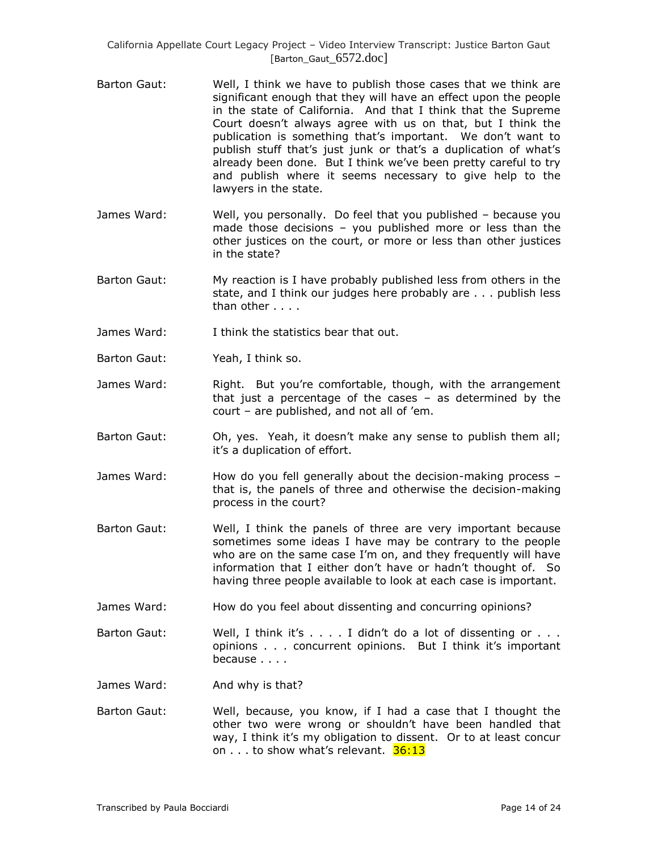- Barton Gaut: Well, I think we have to publish those cases that we think are significant enough that they will have an effect upon the people in the state of California. And that I think that the Supreme Court doesn't always agree with us on that, but I think the publication is something that's important. We don't want to publish stuff that's just junk or that's a duplication of what's already been done. But I think we've been pretty careful to try and publish where it seems necessary to give help to the lawyers in the state.
- James Ward: Well, you personally. Do feel that you published because you made those decisions – you published more or less than the other justices on the court, or more or less than other justices in the state?
- Barton Gaut: My reaction is I have probably published less from others in the state, and I think our judges here probably are . . . publish less than other . . . .
- James Ward: I think the statistics bear that out.
- Barton Gaut: Yeah, I think so.
- James Ward: Right. But you're comfortable, though, with the arrangement that just a percentage of the cases – as determined by the court – are published, and not all of "em.
- Barton Gaut: Oh, yes. Yeah, it doesn"t make any sense to publish them all; it"s a duplication of effort.
- James Ward: How do you fell generally about the decision-making process that is, the panels of three and otherwise the decision-making process in the court?
- Barton Gaut: Well, I think the panels of three are very important because sometimes some ideas I have may be contrary to the people who are on the same case I'm on, and they frequently will have information that I either don"t have or hadn"t thought of. So having three people available to look at each case is important.
- James Ward: How do you feel about dissenting and concurring opinions?
- Barton Gaut: Well, I think it's . . . . I didn't do a lot of dissenting or . . . opinions . . . concurrent opinions. But I think it's important because . . . .
- James Ward: And why is that?
- Barton Gaut: Well, because, you know, if I had a case that I thought the other two were wrong or shouldn"t have been handled that way, I think it's my obligation to dissent. Or to at least concur on . . . to show what's relevant. 36:13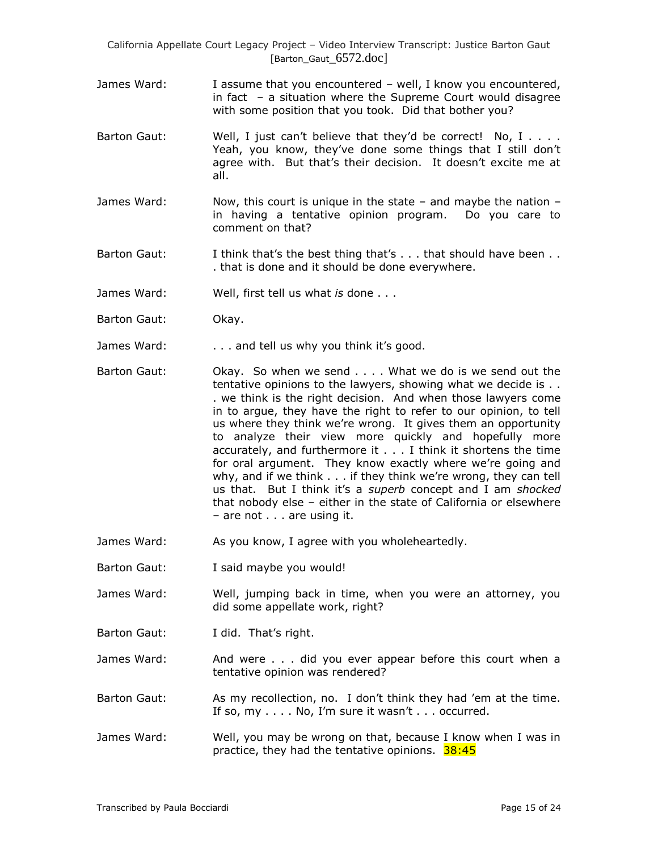- James Ward: I assume that you encountered well, I know you encountered, in fact – a situation where the Supreme Court would disagree with some position that you took. Did that bother you?
- Barton Gaut: Well, I just can't believe that they'd be correct! No, I . . . . Yeah, you know, they've done some things that I still don't agree with. But that's their decision. It doesn't excite me at all.
- James Ward: Now, this court is unique in the state  $-$  and maybe the nation  $$ in having a tentative opinion program. Do you care to comment on that?
- Barton Gaut: I think that's the best thing that's . . . that should have been . . . that is done and it should be done everywhere.
- James Ward: Well, first tell us what *is* done . . .
- Barton Gaut: Okay.
- James Ward: ... and tell us why you think it's good.
- Barton Gaut: Okay. So when we send . . . . What we do is we send out the tentative opinions to the lawyers, showing what we decide is . . . we think is the right decision. And when those lawyers come in to argue, they have the right to refer to our opinion, to tell us where they think we"re wrong. It gives them an opportunity to analyze their view more quickly and hopefully more accurately, and furthermore it . . . I think it shortens the time for oral argument. They know exactly where we're going and why, and if we think . . . if they think we"re wrong, they can tell us that. But I think it"s a *superb* concept and I am *shocked* that nobody else – either in the state of California or elsewhere – are not . . . are using it.
- James Ward: As you know, I agree with you wholeheartedly.
- Barton Gaut: I said maybe you would!
- James Ward: Well, jumping back in time, when you were an attorney, you did some appellate work, right?
- Barton Gaut: I did. That's right.
- James Ward: And were . . . did you ever appear before this court when a tentative opinion was rendered?
- Barton Gaut: As my recollection, no. I don't think they had 'em at the time. If so,  $my \ldots$  . No, I'm sure it wasn't  $\ldots$  occurred.
- James Ward: Well, you may be wrong on that, because I know when I was in practice, they had the tentative opinions. 38:45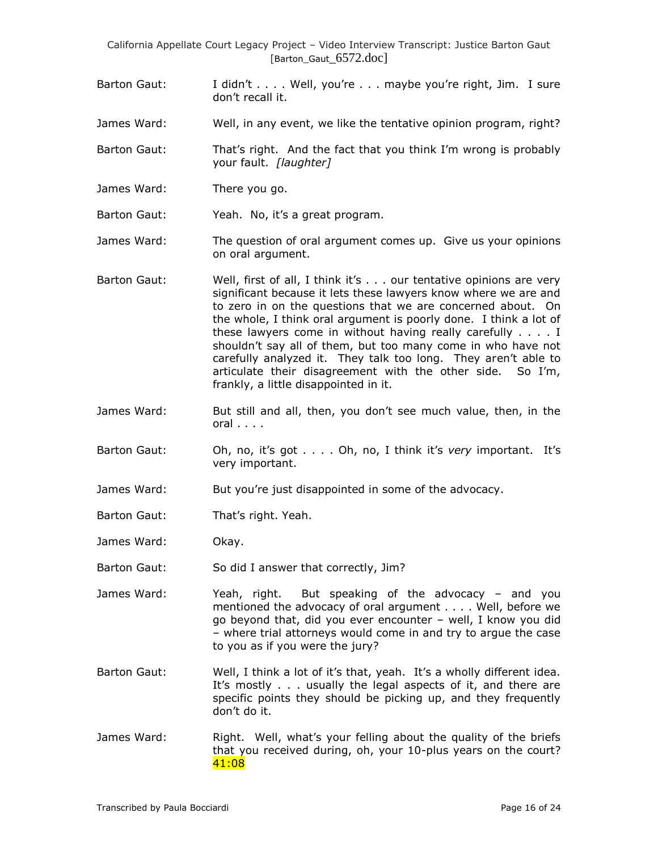- Barton Gaut: I didn't . . . . Well, you're . . . maybe you're right, Jim. I sure don"t recall it.
- James Ward: Well, in any event, we like the tentative opinion program, right?
- Barton Gaut: That"s right. And the fact that you think I"m wrong is probably your fault. *[laughter]*
- James Ward: There you go.
- Barton Gaut: Yeah. No, it's a great program.
- James Ward: The question of oral argument comes up. Give us your opinions on oral argument.
- Barton Gaut: Well, first of all, I think it's . . . our tentative opinions are very significant because it lets these lawyers know where we are and to zero in on the questions that we are concerned about. On the whole, I think oral argument is poorly done. I think a lot of these lawyers come in without having really carefully . . . . I shouldn"t say all of them, but too many come in who have not carefully analyzed it. They talk too long. They aren't able to articulate their disagreement with the other side. So I"m, frankly, a little disappointed in it.
- James Ward: But still and all, then, you don"t see much value, then, in the oral . . . .
- Barton Gaut: Oh, no, it's got . . . . Oh, no, I think it's *very* important. It's very important.
- James Ward: But you're just disappointed in some of the advocacy.
- Barton Gaut: That"s right. Yeah.
- James Ward: Okay.
- Barton Gaut: So did I answer that correctly, Jim?
- James Ward: Yeah, right. But speaking of the advocacy and you mentioned the advocacy of oral argument . . . . Well, before we go beyond that, did you ever encounter – well, I know you did – where trial attorneys would come in and try to argue the case to you as if you were the jury?
- Barton Gaut: Well, I think a lot of it's that, yeah. It's a wholly different idea. It's mostly . . . usually the legal aspects of it, and there are specific points they should be picking up, and they frequently don"t do it.
- James Ward: Right. Well, what"s your felling about the quality of the briefs that you received during, oh, your 10-plus years on the court? 41:08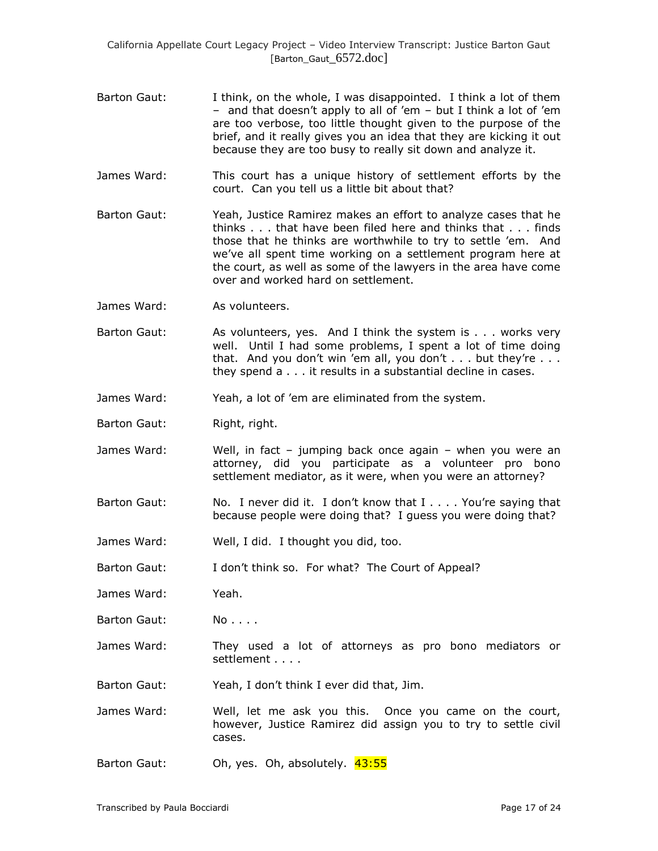- Barton Gaut: I think, on the whole, I was disappointed. I think a lot of them – and that doesn"t apply to all of "em – but I think a lot of "em are too verbose, too little thought given to the purpose of the brief, and it really gives you an idea that they are kicking it out because they are too busy to really sit down and analyze it.
- James Ward: This court has a unique history of settlement efforts by the court. Can you tell us a little bit about that?
- Barton Gaut: Yeah, Justice Ramirez makes an effort to analyze cases that he thinks . . . that have been filed here and thinks that . . . finds those that he thinks are worthwhile to try to settle "em. And we've all spent time working on a settlement program here at the court, as well as some of the lawyers in the area have come over and worked hard on settlement.
- James Ward: As volunteers.
- Barton Gaut: As volunteers, yes. And I think the system is . . . works very well. Until I had some problems, I spent a lot of time doing that. And you don't win 'em all, you don't  $\dots$  but they're  $\dots$ they spend a . . . it results in a substantial decline in cases.
- James Ward: Yeah, a lot of "em are eliminated from the system.
- Barton Gaut: Right, right.
- James Ward: Well, in fact jumping back once again when you were an attorney, did you participate as a volunteer pro bono settlement mediator, as it were, when you were an attorney?
- Barton Gaut: No. I never did it. I don't know that I . . . . You're saying that because people were doing that? I guess you were doing that?
- James Ward: Well, I did. I thought you did, too.
- Barton Gaut: I don't think so. For what? The Court of Appeal?
- James Ward: Yeah.
- Barton Gaut: No....
- James Ward: They used a lot of attorneys as pro bono mediators or settlement . . . .
- Barton Gaut: Yeah, I don"t think I ever did that, Jim.
- James Ward: Well, let me ask you this. Once you came on the court, however, Justice Ramirez did assign you to try to settle civil cases.
- Barton Gaut: Oh, yes. Oh, absolutely. 43:55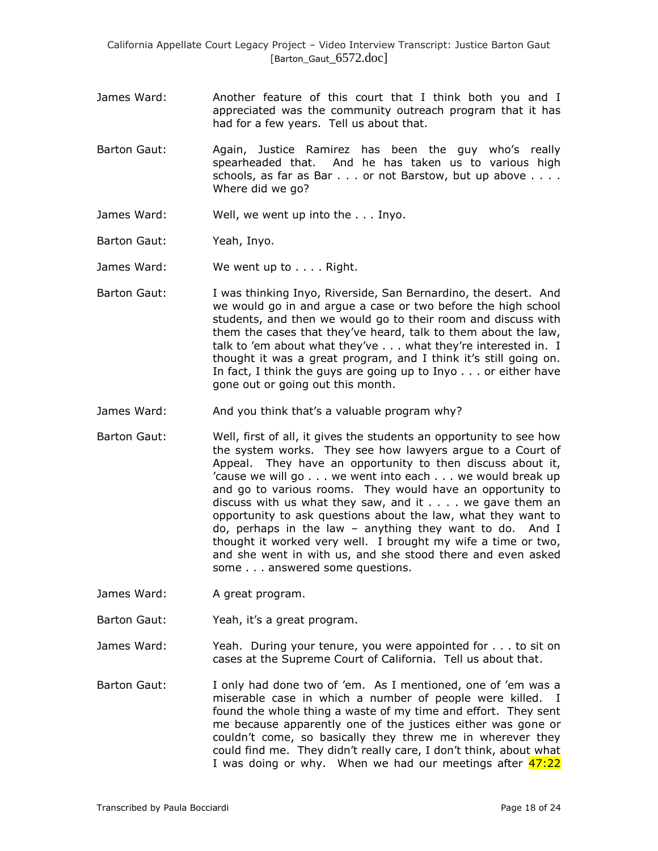- James Ward: Another feature of this court that I think both you and I appreciated was the community outreach program that it has had for a few years. Tell us about that.
- Barton Gaut: Again, Justice Ramirez has been the guy who"s really spearheaded that. And he has taken us to various high schools, as far as Bar . . . or not Barstow, but up above . . . . Where did we go?
- James Ward: Well, we went up into the . . . Inyo.
- Barton Gaut: Yeah, Inyo.
- James Ward: We went up to . . . . Right.
- Barton Gaut: I was thinking Inyo, Riverside, San Bernardino, the desert. And we would go in and argue a case or two before the high school students, and then we would go to their room and discuss with them the cases that they"ve heard, talk to them about the law, talk to 'em about what they've . . . what they're interested in. I thought it was a great program, and I think it's still going on. In fact, I think the guys are going up to Inyo . . . or either have gone out or going out this month.
- James Ward: And you think that's a valuable program why?
- Barton Gaut: Well, first of all, it gives the students an opportunity to see how the system works. They see how lawyers argue to a Court of Appeal. They have an opportunity to then discuss about it, "cause we will go . . . we went into each . . . we would break up and go to various rooms. They would have an opportunity to discuss with us what they saw, and it  $\ldots$  we gave them an opportunity to ask questions about the law, what they want to do, perhaps in the law – anything they want to do. And I thought it worked very well. I brought my wife a time or two, and she went in with us, and she stood there and even asked some . . . answered some questions.
- James Ward: A great program.
- Barton Gaut: Yeah, it's a great program.
- James Ward: Yeah. During your tenure, you were appointed for . . . to sit on cases at the Supreme Court of California. Tell us about that.
- Barton Gaut: I only had done two of 'em. As I mentioned, one of 'em was a miserable case in which a number of people were killed. I found the whole thing a waste of my time and effort. They sent me because apparently one of the justices either was gone or couldn"t come, so basically they threw me in wherever they could find me. They didn"t really care, I don"t think, about what I was doing or why. When we had our meetings after  $47:22$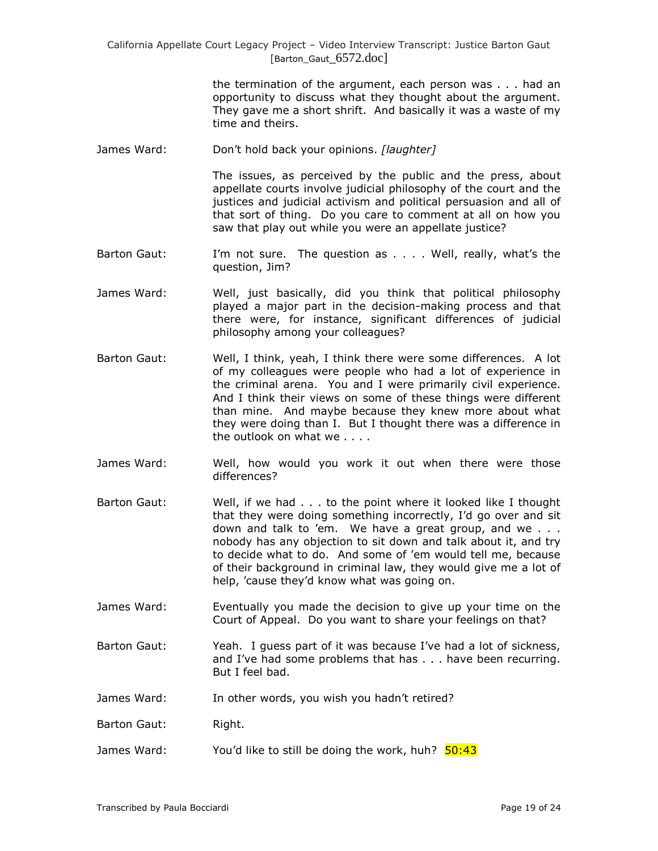> the termination of the argument, each person was . . . had an opportunity to discuss what they thought about the argument. They gave me a short shrift. And basically it was a waste of my time and theirs.

James Ward: Don"t hold back your opinions. *[laughter]*

The issues, as perceived by the public and the press, about appellate courts involve judicial philosophy of the court and the justices and judicial activism and political persuasion and all of that sort of thing. Do you care to comment at all on how you saw that play out while you were an appellate justice?

- Barton Gaut: I'm not sure. The question as . . . . Well, really, what's the question, Jim?
- James Ward: Well, just basically, did you think that political philosophy played a major part in the decision-making process and that there were, for instance, significant differences of judicial philosophy among your colleagues?
- Barton Gaut: Well, I think, yeah, I think there were some differences. A lot of my colleagues were people who had a lot of experience in the criminal arena. You and I were primarily civil experience. And I think their views on some of these things were different than mine. And maybe because they knew more about what they were doing than I. But I thought there was a difference in the outlook on what we . . . .
- James Ward: Well, how would you work it out when there were those differences?
- Barton Gaut: Well, if we had . . . to the point where it looked like I thought that they were doing something incorrectly, I"d go over and sit down and talk to "em. We have a great group, and we . . . nobody has any objection to sit down and talk about it, and try to decide what to do. And some of "em would tell me, because of their background in criminal law, they would give me a lot of help, 'cause they'd know what was going on.
- James Ward: Eventually you made the decision to give up your time on the Court of Appeal. Do you want to share your feelings on that?
- Barton Gaut: Yeah. I guess part of it was because I"ve had a lot of sickness, and I've had some problems that has . . . have been recurring. But I feel bad.
- James Ward: In other words, you wish you hadn"t retired?
- Barton Gaut: Right.
- James Ward: You'd like to still be doing the work, huh?  $\frac{50:43}{2}$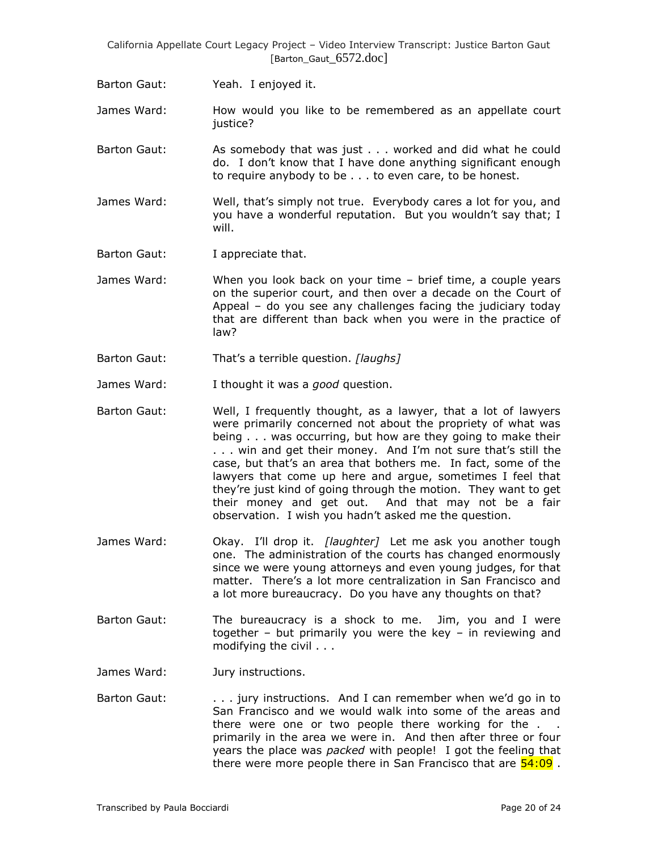Barton Gaut: Yeah. I enjoyed it.

James Ward: How would you like to be remembered as an appellate court justice?

- Barton Gaut: As somebody that was just . . . worked and did what he could do. I don"t know that I have done anything significant enough to require anybody to be . . . to even care, to be honest.
- James Ward: Well, that"s simply not true. Everybody cares a lot for you, and you have a wonderful reputation. But you wouldn"t say that; I will.
- Barton Gaut: I appreciate that.
- James Ward: When you look back on your time brief time, a couple years on the superior court, and then over a decade on the Court of Appeal – do you see any challenges facing the judiciary today that are different than back when you were in the practice of law?
- Barton Gaut: That"s a terrible question. *[laughs]*
- James Ward: I thought it was a *good* question.
- Barton Gaut: Well, I frequently thought, as a lawyer, that a lot of lawyers were primarily concerned not about the propriety of what was being . . . was occurring, but how are they going to make their . . . win and get their money. And I"m not sure that"s still the case, but that"s an area that bothers me. In fact, some of the lawyers that come up here and argue, sometimes I feel that they"re just kind of going through the motion. They want to get their money and get out. And that may not be a fair observation. I wish you hadn"t asked me the question.
- James Ward: Okay. I"ll drop it. *[laughter]* Let me ask you another tough one. The administration of the courts has changed enormously since we were young attorneys and even young judges, for that matter. There's a lot more centralization in San Francisco and a lot more bureaucracy. Do you have any thoughts on that?
- Barton Gaut: The bureaucracy is a shock to me. Jim, you and I were together – but primarily you were the key – in reviewing and modifying the civil . . .
- James Ward: Jury instructions.
- Barton Gaut: . . . . . jury instructions. And I can remember when we'd go in to San Francisco and we would walk into some of the areas and there were one or two people there working for the . . primarily in the area we were in. And then after three or four years the place was *packed* with people! I got the feeling that there were more people there in San Francisco that are  $54:09$ .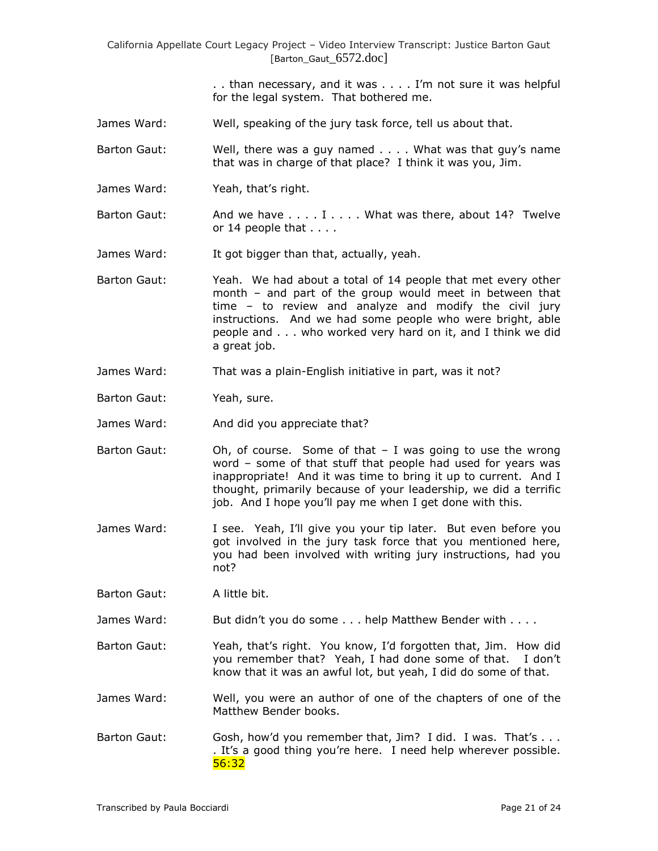> . . than necessary, and it was . . . . I"m not sure it was helpful for the legal system. That bothered me.

- James Ward: Well, speaking of the jury task force, tell us about that.
- Barton Gaut: Well, there was a guy named . . . . What was that guy"s name that was in charge of that place? I think it was you, Jim.
- James Ward: Yeah, that's right.
- Barton Gaut: And we have . . . . I . . . . What was there, about 14? Twelve or 14 people that . . . .
- James Ward: It got bigger than that, actually, yeah.
- Barton Gaut: Yeah. We had about a total of 14 people that met every other month – and part of the group would meet in between that time – to review and analyze and modify the civil jury instructions. And we had some people who were bright, able people and . . . who worked very hard on it, and I think we did a great job.
- James Ward: That was a plain-English initiative in part, was it not?
- Barton Gaut: Yeah, sure.
- James Ward: And did you appreciate that?
- Barton Gaut:  $\qquad$  Oh, of course. Some of that  $-1$  was going to use the wrong word – some of that stuff that people had used for years was inappropriate! And it was time to bring it up to current. And I thought, primarily because of your leadership, we did a terrific job. And I hope you'll pay me when I get done with this.
- James Ward: I see. Yeah, I"ll give you your tip later. But even before you got involved in the jury task force that you mentioned here, you had been involved with writing jury instructions, had you not?
- Barton Gaut: A little bit.
- James Ward: But didn't you do some . . . help Matthew Bender with . . . .
- Barton Gaut: Yeah, that"s right. You know, I"d forgotten that, Jim. How did you remember that? Yeah, I had done some of that. I don"t know that it was an awful lot, but yeah, I did do some of that.
- James Ward: Well, you were an author of one of the chapters of one of the Matthew Bender books.
- Barton Gaut: Gosh, how'd you remember that, Jim? I did. I was. That's . . . . It's a good thing you're here. I need help wherever possible. 56:32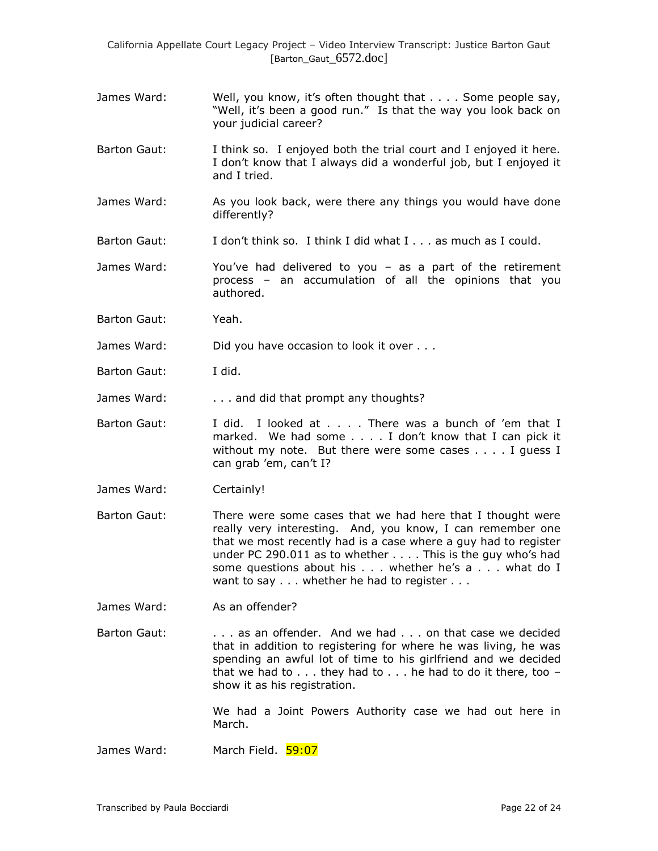- James Ward: Well, you know, it's often thought that . . . . Some people say, "Well, it's been a good run." Is that the way you look back on your judicial career?
- Barton Gaut: I think so. I enjoyed both the trial court and I enjoyed it here. I don"t know that I always did a wonderful job, but I enjoyed it and I tried.
- James Ward: As you look back, were there any things you would have done differently?
- Barton Gaut: I don"t think so. I think I did what I . . . as much as I could.
- James Ward: You"ve had delivered to you as a part of the retirement process – an accumulation of all the opinions that you authored.
- Barton Gaut: Yeah.
- James Ward: Did you have occasion to look it over . . .
- Barton Gaut: I did.
- James Ward: . . . . . . . . and did that prompt any thoughts?
- Barton Gaut: I did. I looked at . . . There was a bunch of 'em that I marked. We had some . . . . I don't know that I can pick it without my note. But there were some cases . . . . I quess I can grab 'em, can't I?
- James Ward: Certainly!
- Barton Gaut: There were some cases that we had here that I thought were really very interesting. And, you know, I can remember one that we most recently had is a case where a guy had to register under PC 290.011 as to whether . . . . This is the guy who"s had some questions about his . . . whether he's a . . . what do I want to say . . . whether he had to register . . .
- James Ward: As an offender?
- Barton Gaut: . . . . . as an offender. And we had . . . on that case we decided that in addition to registering for where he was living, he was spending an awful lot of time to his girlfriend and we decided that we had to  $\ldots$  they had to  $\ldots$  he had to do it there, too  $$ show it as his registration.

We had a Joint Powers Authority case we had out here in March.

James Ward: March Field. 59:07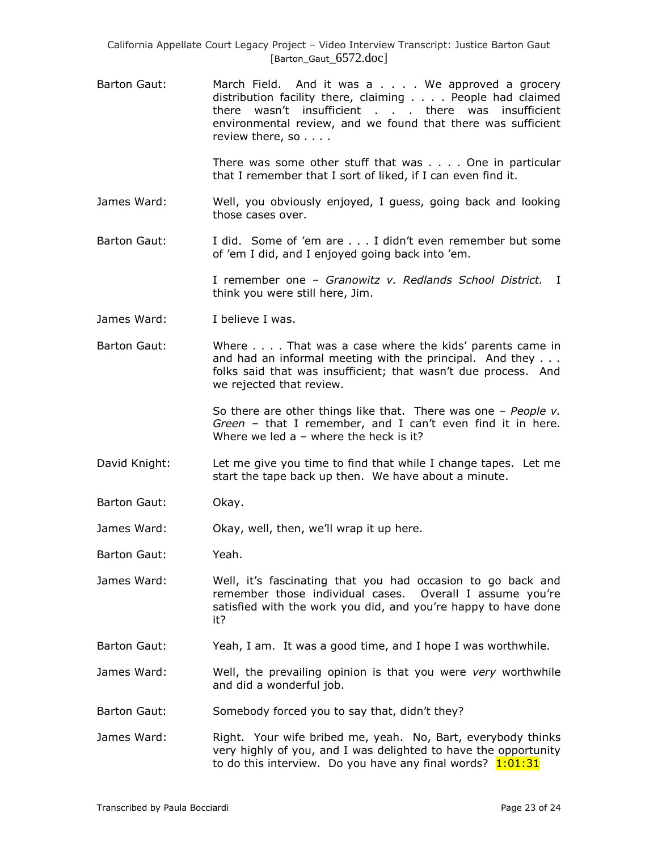Barton Gaut: March Field. And it was a . . . . We approved a grocery distribution facility there, claiming . . . . People had claimed there wasn't insufficient . . . there was insufficient environmental review, and we found that there was sufficient review there, so . . . .

> There was some other stuff that was . . . . One in particular that I remember that I sort of liked, if I can even find it.

- James Ward: Well, you obviously enjoyed, I guess, going back and looking those cases over.
- Barton Gaut: I did. Some of "em are . . . I didn"t even remember but some of 'em I did, and I enjoyed going back into 'em.

I remember one – *Granowitz v. Redlands School District.* I think you were still here, Jim.

- James Ward: I believe I was.
- Barton Gaut: Where . . . . That was a case where the kids" parents came in and had an informal meeting with the principal. And they . . . folks said that was insufficient; that wasn't due process. And we rejected that review.

So there are other things like that. There was one – *People v. Green* – that I remember, and I can"t even find it in here. Where we led  $a -$  where the heck is it?

- David Knight: Let me give you time to find that while I change tapes. Let me start the tape back up then. We have about a minute.
- Barton Gaut: Okay.

James Ward: Okay, well, then, we"ll wrap it up here.

Barton Gaut: Yeah.

James Ward: Well, it"s fascinating that you had occasion to go back and remember those individual cases. Overall I assume you're satisfied with the work you did, and you're happy to have done it?

- Barton Gaut: Yeah, I am. It was a good time, and I hope I was worthwhile.
- James Ward: Well, the prevailing opinion is that you were *very* worthwhile and did a wonderful job.
- Barton Gaut: Somebody forced you to say that, didn't they?
- James Ward: Right. Your wife bribed me, yeah. No, Bart, everybody thinks very highly of you, and I was delighted to have the opportunity to do this interview. Do you have any final words? 1:01:31